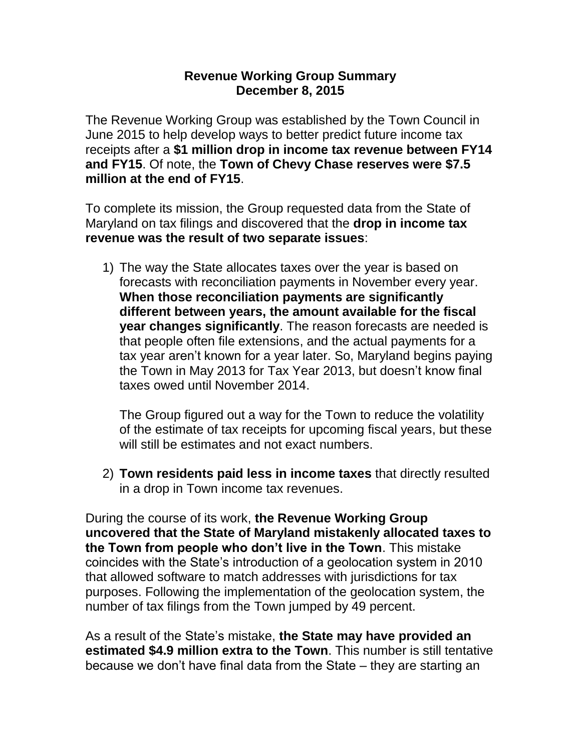## **Revenue Working Group Summary December 8, 2015**

The Revenue Working Group was established by the Town Council in June 2015 to help develop ways to better predict future income tax receipts after a **\$1 million drop in income tax revenue between FY14 and FY15**. Of note, the **Town of Chevy Chase reserves were \$7.5 million at the end of FY15**.

To complete its mission, the Group requested data from the State of Maryland on tax filings and discovered that the **drop in income tax revenue was the result of two separate issues**:

1) The way the State allocates taxes over the year is based on forecasts with reconciliation payments in November every year. **When those reconciliation payments are significantly different between years, the amount available for the fiscal year changes significantly**. The reason forecasts are needed is that people often file extensions, and the actual payments for a tax year aren't known for a year later. So, Maryland begins paying the Town in May 2013 for Tax Year 2013, but doesn't know final taxes owed until November 2014.

The Group figured out a way for the Town to reduce the volatility of the estimate of tax receipts for upcoming fiscal years, but these will still be estimates and not exact numbers.

2) **Town residents paid less in income taxes** that directly resulted in a drop in Town income tax revenues.

During the course of its work, **the Revenue Working Group uncovered that the State of Maryland mistakenly allocated taxes to the Town from people who don't live in the Town**. This mistake coincides with the State's introduction of a geolocation system in 2010 that allowed software to match addresses with jurisdictions for tax purposes. Following the implementation of the geolocation system, the number of tax filings from the Town jumped by 49 percent.

As a result of the State's mistake, **the State may have provided an estimated \$4.9 million extra to the Town**. This number is still tentative because we don't have final data from the State – they are starting an